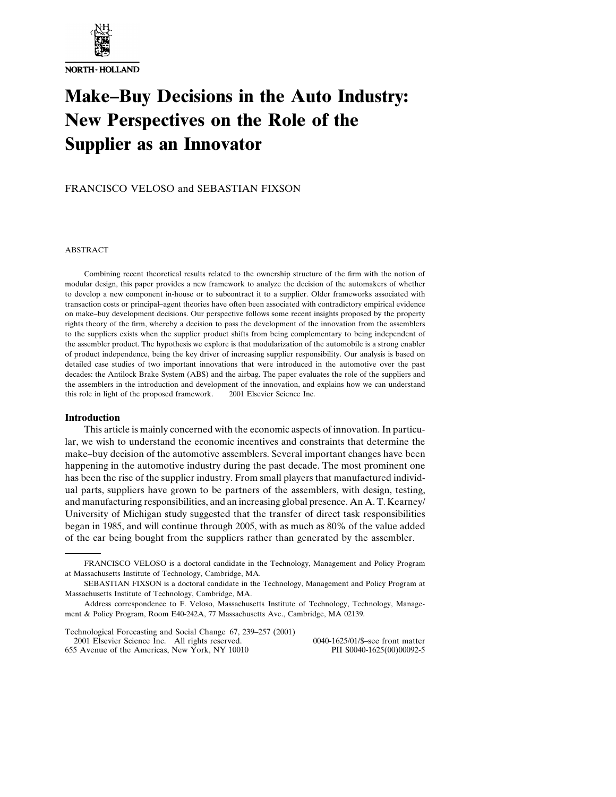

# **Make–Buy Decisions in the Auto Industry: New Perspectives on the Role of the Supplier as an Innovator**

FRANCISCO VELOSO and SEBASTIAN FIXSON

#### ABSTRACT

Combining recent theoretical results related to the ownership structure of the firm with the notion of modular design, this paper provides a new framework to analyze the decision of the automakers of whether to develop a new component in-house or to subcontract it to a supplier. Older frameworks associated with transaction costs or principal–agent theories have often been associated with contradictory empirical evidence on make–buy development decisions. Our perspective follows some recent insights proposed by the property rights theory of the firm, whereby a decision to pass the development of the innovation from the assemblers to the suppliers exists when the supplier product shifts from being complementary to being independent of the assembler product. The hypothesis we explore is that modularization of the automobile is a strong enabler of product independence, being the key driver of increasing supplier responsibility. Our analysis is based on detailed case studies of two important innovations that were introduced in the automotive over the past decades: the Antilock Brake System (ABS) and the airbag. The paper evaluates the role of the suppliers and the assemblers in the introduction and development of the innovation, and explains how we can understand this role in light of the proposed framework.  $\oslash$  2001 Elsevier Science Inc.

#### **Introduction**

This article is mainly concerned with the economic aspects of innovation. In particular, we wish to understand the economic incentives and constraints that determine the make–buy decision of the automotive assemblers. Several important changes have been happening in the automotive industry during the past decade. The most prominent one has been the rise of the supplier industry. From small players that manufactured individual parts, suppliers have grown to be partners of the assemblers, with design, testing, and manufacturing responsibilities, and an increasing global presence. An A. T. Kearney/ University of Michigan study suggested that the transfer of direct task responsibilities began in 1985, and will continue through 2005, with as much as 80% of the value added of the car being bought from the suppliers rather than generated by the assembler.

FRANCISCO VELOSO is a doctoral candidate in the Technology, Management and Policy Program at Massachusetts Institute of Technology, Cambridge, MA.

SEBASTIAN FIXSON is a doctoral candidate in the Technology, Management and Policy Program at Massachusetts Institute of Technology, Cambridge, MA.

Address correspondence to F. Veloso, Massachusetts Institute of Technology, Technology, Management & Policy Program, Room E40-242A, 77 Massachusetts Ave., Cambridge, MA 02139.

Technological Forecasting and Social Change 67, 239–257 (2001)

<sup>655</sup> Avenue of the Americas, New York, NY 10010

2001 Elsevier Science Inc. All rights reserved. 0040-1625/01/\$–see front matter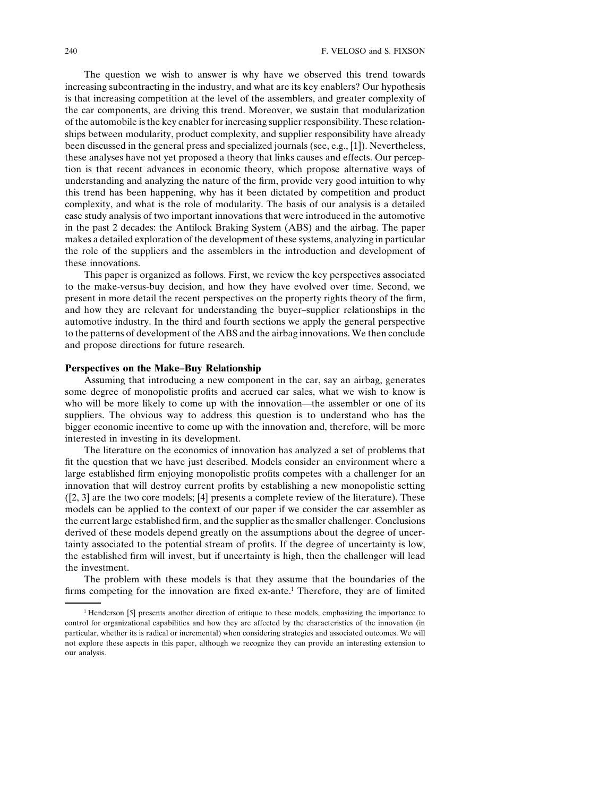The question we wish to answer is why have we observed this trend towards increasing subcontracting in the industry, and what are its key enablers? Our hypothesis is that increasing competition at the level of the assemblers, and greater complexity of the car components, are driving this trend. Moreover, we sustain that modularization of the automobile is the key enabler for increasing supplier responsibility. These relationships between modularity, product complexity, and supplier responsibility have already been discussed in the general press and specialized journals (see, e.g., [1]). Nevertheless, these analyses have not yet proposed a theory that links causes and effects. Our perception is that recent advances in economic theory, which propose alternative ways of understanding and analyzing the nature of the firm, provide very good intuition to why this trend has been happening, why has it been dictated by competition and product complexity, and what is the role of modularity. The basis of our analysis is a detailed case study analysis of two important innovations that were introduced in the automotive in the past 2 decades: the Antilock Braking System (ABS) and the airbag. The paper makes a detailed exploration of the development of these systems, analyzing in particular the role of the suppliers and the assemblers in the introduction and development of these innovations.

This paper is organized as follows. First, we review the key perspectives associated to the make-versus-buy decision, and how they have evolved over time. Second, we present in more detail the recent perspectives on the property rights theory of the firm, and how they are relevant for understanding the buyer–supplier relationships in the automotive industry. In the third and fourth sections we apply the general perspective to the patterns of development of the ABS and the airbag innovations. We then conclude and propose directions for future research.

#### **Perspectives on the Make–Buy Relationship**

Assuming that introducing a new component in the car, say an airbag, generates some degree of monopolistic profits and accrued car sales, what we wish to know is who will be more likely to come up with the innovation—the assembler or one of its suppliers. The obvious way to address this question is to understand who has the bigger economic incentive to come up with the innovation and, therefore, will be more interested in investing in its development.

The literature on the economics of innovation has analyzed a set of problems that fit the question that we have just described. Models consider an environment where a large established firm enjoying monopolistic profits competes with a challenger for an innovation that will destroy current profits by establishing a new monopolistic setting  $([2, 3]$  are the two core models; [4] presents a complete review of the literature). These models can be applied to the context of our paper if we consider the car assembler as the current large established firm, and the supplier as the smaller challenger. Conclusions derived of these models depend greatly on the assumptions about the degree of uncertainty associated to the potential stream of profits. If the degree of uncertainty is low, the established firm will invest, but if uncertainty is high, then the challenger will lead the investment.

The problem with these models is that they assume that the boundaries of the firms competing for the innovation are fixed  $ex$ -ante.<sup>1</sup> Therefore, they are of limited

<sup>&</sup>lt;sup>1</sup> Henderson [5] presents another direction of critique to these models, emphasizing the importance to control for organizational capabilities and how they are affected by the characteristics of the innovation (in particular, whether its is radical or incremental) when considering strategies and associated outcomes. We will not explore these aspects in this paper, although we recognize they can provide an interesting extension to our analysis.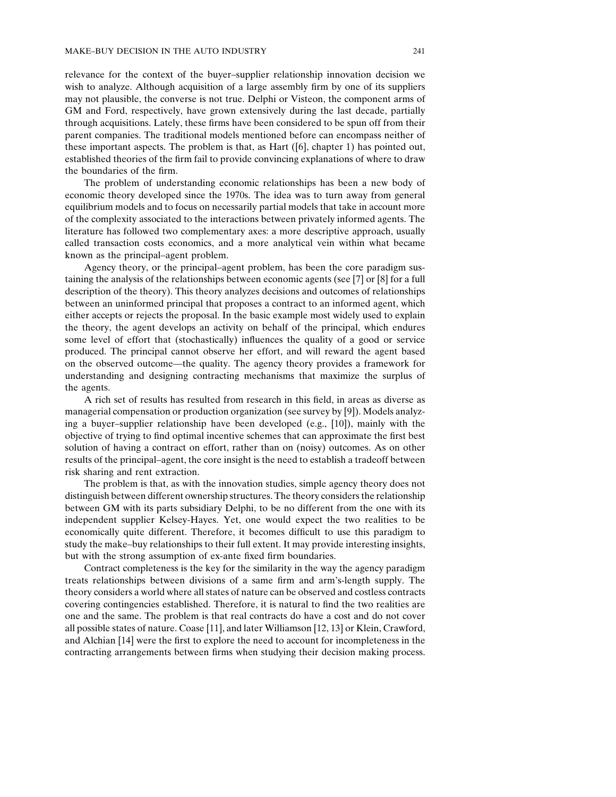relevance for the context of the buyer–supplier relationship innovation decision we wish to analyze. Although acquisition of a large assembly firm by one of its suppliers may not plausible, the converse is not true. Delphi or Visteon, the component arms of GM and Ford, respectively, have grown extensively during the last decade, partially through acquisitions. Lately, these firms have been considered to be spun off from their parent companies. The traditional models mentioned before can encompass neither of these important aspects. The problem is that, as Hart ([6], chapter 1) has pointed out, established theories of the firm fail to provide convincing explanations of where to draw the boundaries of the firm.

The problem of understanding economic relationships has been a new body of economic theory developed since the 1970s. The idea was to turn away from general equilibrium models and to focus on necessarily partial models that take in account more of the complexity associated to the interactions between privately informed agents. The literature has followed two complementary axes: a more descriptive approach, usually called transaction costs economics, and a more analytical vein within what became known as the principal–agent problem.

Agency theory, or the principal–agent problem, has been the core paradigm sustaining the analysis of the relationships between economic agents (see [7] or [8] for a full description of the theory). This theory analyzes decisions and outcomes of relationships between an uninformed principal that proposes a contract to an informed agent, which either accepts or rejects the proposal. In the basic example most widely used to explain the theory, the agent develops an activity on behalf of the principal, which endures some level of effort that (stochastically) influences the quality of a good or service produced. The principal cannot observe her effort, and will reward the agent based on the observed outcome—the quality. The agency theory provides a framework for understanding and designing contracting mechanisms that maximize the surplus of the agents.

A rich set of results has resulted from research in this field, in areas as diverse as managerial compensation or production organization (see survey by [9]). Models analyzing a buyer–supplier relationship have been developed (e.g., [10]), mainly with the objective of trying to find optimal incentive schemes that can approximate the first best solution of having a contract on effort, rather than on (noisy) outcomes. As on other results of the principal–agent, the core insight is the need to establish a tradeoff between risk sharing and rent extraction.

The problem is that, as with the innovation studies, simple agency theory does not distinguish between different ownership structures. The theory considers the relationship between GM with its parts subsidiary Delphi, to be no different from the one with its independent supplier Kelsey-Hayes. Yet, one would expect the two realities to be economically quite different. Therefore, it becomes difficult to use this paradigm to study the make–buy relationships to their full extent. It may provide interesting insights, but with the strong assumption of ex-ante fixed firm boundaries.

Contract completeness is the key for the similarity in the way the agency paradigm treats relationships between divisions of a same firm and arm's-length supply. The theory considers a world where all states of nature can be observed and costless contracts covering contingencies established. Therefore, it is natural to find the two realities are one and the same. The problem is that real contracts do have a cost and do not cover all possible states of nature. Coase [11], and later Williamson [12, 13] or Klein, Crawford, and Alchian [14] were the first to explore the need to account for incompleteness in the contracting arrangements between firms when studying their decision making process.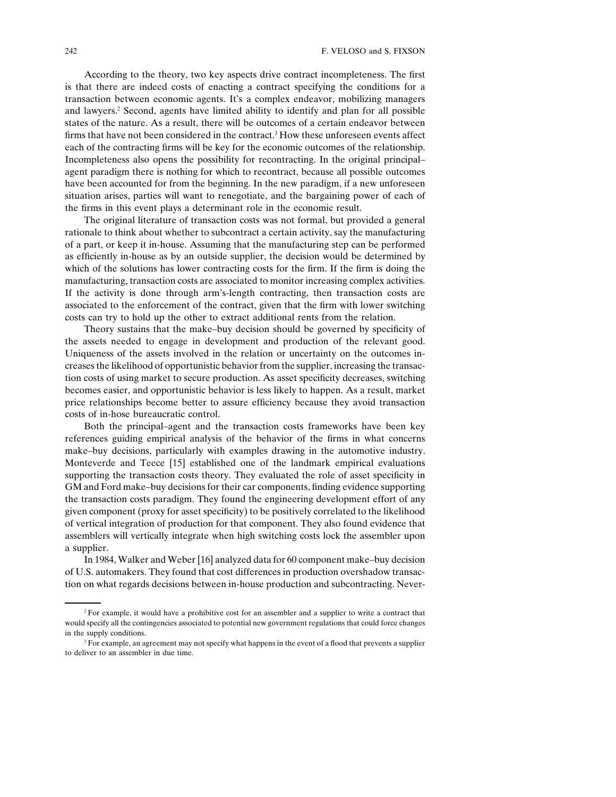According to the theory, two key aspects drive contract incompleteness. The first is that there are indeed costs of enacting a contract specifying the conditions for a transaction between economic agents. It's a complex endeavor, mobilizing managers and lawyers.2 Second, agents have limited ability to identify and plan for all possible states of the nature. As a result, there will be outcomes of a certain endeavor between firms that have not been considered in the contract.<sup>3</sup> How these unforeseen events affect each of the contracting firms will be key for the economic outcomes of the relationship. Incompleteness also opens the possibility for recontracting. In the original principal– agent paradigm there is nothing for which to recontract, because all possible outcomes have been accounted for from the beginning. In the new paradigm, if a new unforeseen situation arises, parties will want to renegotiate, and the bargaining power of each of the firms in this event plays a determinant role in the economic result.

The original literature of transaction costs was not formal, but provided a general rationale to think about whether to subcontract a certain activity, say the manufacturing of a part, or keep it in-house. Assuming that the manufacturing step can be performed as efficiently in-house as by an outside supplier, the decision would be determined by which of the solutions has lower contracting costs for the firm. If the firm is doing the manufacturing, transaction costs are associated to monitor increasing complex activities. If the activity is done through arm's-length contracting, then transaction costs are associated to the enforcement of the contract, given that the firm with lower switching costs can try to hold up the other to extract additional rents from the relation.

Theory sustains that the make–buy decision should be governed by specificity of the assets needed to engage in development and production of the relevant good. Uniqueness of the assets involved in the relation or uncertainty on the outcomes increases the likelihood of opportunistic behavior from the supplier, increasing the transaction costs of using market to secure production. As asset specificity decreases, switching becomes easier, and opportunistic behavior is less likely to happen. As a result, market price relationships become better to assure efficiency because they avoid transaction costs of in-hose bureaucratic control.

Both the principal–agent and the transaction costs frameworks have been key references guiding empirical analysis of the behavior of the firms in what concerns make–buy decisions, particularly with examples drawing in the automotive industry. Monteverde and Teece [15] established one of the landmark empirical evaluations supporting the transaction costs theory. They evaluated the role of asset specificity in GM and Ford make–buy decisions for their car components, finding evidence supporting the transaction costs paradigm. They found the engineering development effort of any given component (proxy for asset specificity) to be positively correlated to the likelihood of vertical integration of production for that component. They also found evidence that assemblers will vertically integrate when high switching costs lock the assembler upon a supplier.

In 1984, Walker and Weber [16] analyzed data for 60 component make–buy decision of U.S. automakers. They found that cost differences in production overshadow transaction on what regards decisions between in-house production and subcontracting. Never-

<sup>&</sup>lt;sup>2</sup> For example, it would have a prohibitive cost for an assembler and a supplier to write a contract that would specify all the contingencies associated to potential new government regulations that could force changes in the supply conditions.

<sup>&</sup>lt;sup>3</sup> For example, an agreement may not specify what happens in the event of a flood that prevents a supplier to deliver to an assembler in due time.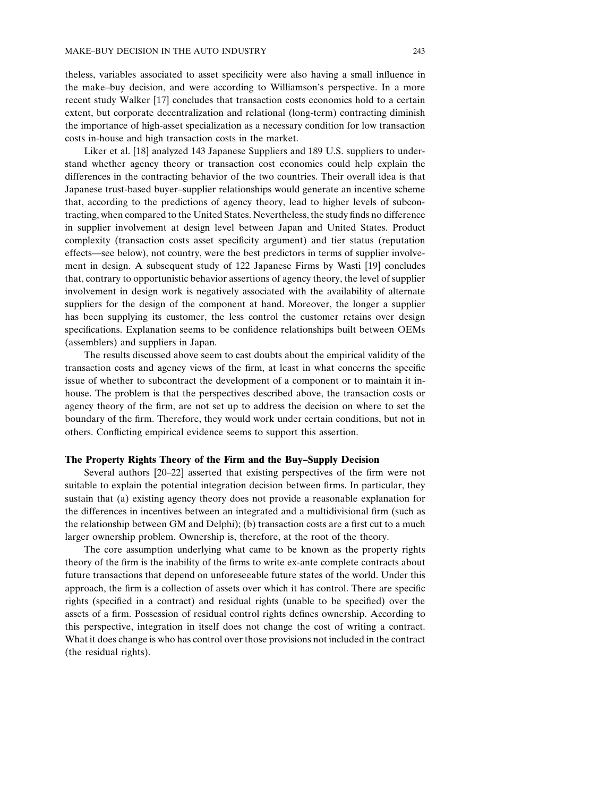theless, variables associated to asset specificity were also having a small influence in the make–buy decision, and were according to Williamson's perspective. In a more recent study Walker [17] concludes that transaction costs economics hold to a certain extent, but corporate decentralization and relational (long-term) contracting diminish the importance of high-asset specialization as a necessary condition for low transaction costs in-house and high transaction costs in the market.

Liker et al. [18] analyzed 143 Japanese Suppliers and 189 U.S. suppliers to understand whether agency theory or transaction cost economics could help explain the differences in the contracting behavior of the two countries. Their overall idea is that Japanese trust-based buyer–supplier relationships would generate an incentive scheme that, according to the predictions of agency theory, lead to higher levels of subcontracting, when compared to the United States. Nevertheless, the study finds no difference in supplier involvement at design level between Japan and United States. Product complexity (transaction costs asset specificity argument) and tier status (reputation effects—see below), not country, were the best predictors in terms of supplier involvement in design. A subsequent study of 122 Japanese Firms by Wasti [19] concludes that, contrary to opportunistic behavior assertions of agency theory, the level of supplier involvement in design work is negatively associated with the availability of alternate suppliers for the design of the component at hand. Moreover, the longer a supplier has been supplying its customer, the less control the customer retains over design specifications. Explanation seems to be confidence relationships built between OEMs (assemblers) and suppliers in Japan.

The results discussed above seem to cast doubts about the empirical validity of the transaction costs and agency views of the firm, at least in what concerns the specific issue of whether to subcontract the development of a component or to maintain it inhouse. The problem is that the perspectives described above, the transaction costs or agency theory of the firm, are not set up to address the decision on where to set the boundary of the firm. Therefore, they would work under certain conditions, but not in others. Conflicting empirical evidence seems to support this assertion.

## **The Property Rights Theory of the Firm and the Buy–Supply Decision**

Several authors [20–22] asserted that existing perspectives of the firm were not suitable to explain the potential integration decision between firms. In particular, they sustain that (a) existing agency theory does not provide a reasonable explanation for the differences in incentives between an integrated and a multidivisional firm (such as the relationship between GM and Delphi); (b) transaction costs are a first cut to a much larger ownership problem. Ownership is, therefore, at the root of the theory.

The core assumption underlying what came to be known as the property rights theory of the firm is the inability of the firms to write ex-ante complete contracts about future transactions that depend on unforeseeable future states of the world. Under this approach, the firm is a collection of assets over which it has control. There are specific rights (specified in a contract) and residual rights (unable to be specified) over the assets of a firm. Possession of residual control rights defines ownership. According to this perspective, integration in itself does not change the cost of writing a contract. What it does change is who has control over those provisions not included in the contract (the residual rights).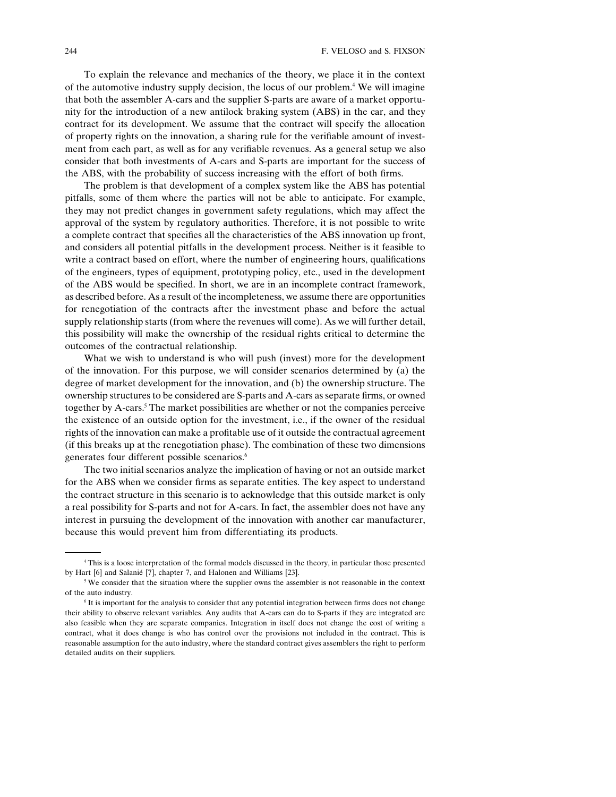To explain the relevance and mechanics of the theory, we place it in the context of the automotive industry supply decision, the locus of our problem.4 We will imagine that both the assembler A-cars and the supplier S-parts are aware of a market opportunity for the introduction of a new antilock braking system (ABS) in the car, and they contract for its development. We assume that the contract will specify the allocation of property rights on the innovation, a sharing rule for the verifiable amount of investment from each part, as well as for any verifiable revenues. As a general setup we also consider that both investments of A-cars and S-parts are important for the success of the ABS, with the probability of success increasing with the effort of both firms.

The problem is that development of a complex system like the ABS has potential pitfalls, some of them where the parties will not be able to anticipate. For example, they may not predict changes in government safety regulations, which may affect the approval of the system by regulatory authorities. Therefore, it is not possible to write a complete contract that specifies all the characteristics of the ABS innovation up front, and considers all potential pitfalls in the development process. Neither is it feasible to write a contract based on effort, where the number of engineering hours, qualifications of the engineers, types of equipment, prototyping policy, etc., used in the development of the ABS would be specified. In short, we are in an incomplete contract framework, as described before. As a result of the incompleteness, we assume there are opportunities for renegotiation of the contracts after the investment phase and before the actual supply relationship starts (from where the revenues will come). As we will further detail, this possibility will make the ownership of the residual rights critical to determine the outcomes of the contractual relationship.

What we wish to understand is who will push (invest) more for the development of the innovation. For this purpose, we will consider scenarios determined by (a) the degree of market development for the innovation, and (b) the ownership structure. The ownership structures to be considered are S-parts and A-cars as separate firms, or owned together by A-cars.<sup>5</sup> The market possibilities are whether or not the companies perceive the existence of an outside option for the investment, i.e., if the owner of the residual rights of the innovation can make a profitable use of it outside the contractual agreement (if this breaks up at the renegotiation phase). The combination of these two dimensions generates four different possible scenarios.<sup>6</sup>

The two initial scenarios analyze the implication of having or not an outside market for the ABS when we consider firms as separate entities. The key aspect to understand the contract structure in this scenario is to acknowledge that this outside market is only a real possibility for S-parts and not for A-cars. In fact, the assembler does not have any interest in pursuing the development of the innovation with another car manufacturer, because this would prevent him from differentiating its products.

<sup>4</sup> This is a loose interpretation of the formal models discussed in the theory, in particular those presented by Hart [6] and Salanié [7], chapter 7, and Halonen and Williams [23].

 $5$  We consider that the situation where the supplier owns the assembler is not reasonable in the context of the auto industry.

<sup>6</sup> It is important for the analysis to consider that any potential integration between firms does not change their ability to observe relevant variables. Any audits that A-cars can do to S-parts if they are integrated are also feasible when they are separate companies. Integration in itself does not change the cost of writing a contract, what it does change is who has control over the provisions not included in the contract. This is reasonable assumption for the auto industry, where the standard contract gives assemblers the right to perform detailed audits on their suppliers.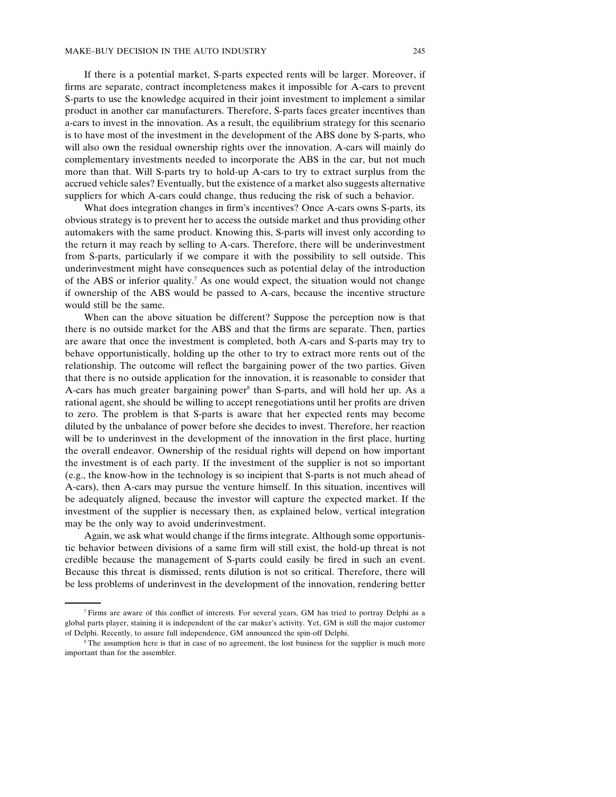#### MAKE–BUY DECISION IN THE AUTO INDUSTRY 245

If there is a potential market, S-parts expected rents will be larger. Moreover, if firms are separate, contract incompleteness makes it impossible for A-cars to prevent S-parts to use the knowledge acquired in their joint investment to implement a similar product in another car manufacturers. Therefore, S-parts faces greater incentives than a-cars to invest in the innovation. As a result, the equilibrium strategy for this scenario is to have most of the investment in the development of the ABS done by S-parts, who will also own the residual ownership rights over the innovation. A-cars will mainly do complementary investments needed to incorporate the ABS in the car, but not much more than that. Will S-parts try to hold-up A-cars to try to extract surplus from the accrued vehicle sales? Eventually, but the existence of a market also suggests alternative suppliers for which A-cars could change, thus reducing the risk of such a behavior.

What does integration changes in firm's incentives? Once A-cars owns S-parts, its obvious strategy is to prevent her to access the outside market and thus providing other automakers with the same product. Knowing this, S-parts will invest only according to the return it may reach by selling to A-cars. Therefore, there will be underinvestment from S-parts, particularly if we compare it with the possibility to sell outside. This underinvestment might have consequences such as potential delay of the introduction of the ABS or inferior quality.7 As one would expect, the situation would not change if ownership of the ABS would be passed to A-cars, because the incentive structure would still be the same.

When can the above situation be different? Suppose the perception now is that there is no outside market for the ABS and that the firms are separate. Then, parties are aware that once the investment is completed, both A-cars and S-parts may try to behave opportunistically, holding up the other to try to extract more rents out of the relationship. The outcome will reflect the bargaining power of the two parties. Given that there is no outside application for the innovation, it is reasonable to consider that A-cars has much greater bargaining power<sup>8</sup> than S-parts, and will hold her up. As a rational agent, she should be willing to accept renegotiations until her profits are driven to zero. The problem is that S-parts is aware that her expected rents may become diluted by the unbalance of power before she decides to invest. Therefore, her reaction will be to underinvest in the development of the innovation in the first place, hurting the overall endeavor. Ownership of the residual rights will depend on how important the investment is of each party. If the investment of the supplier is not so important (e.g., the know-how in the technology is so incipient that S-parts is not much ahead of A-cars), then A-cars may pursue the venture himself. In this situation, incentives will be adequately aligned, because the investor will capture the expected market. If the investment of the supplier is necessary then, as explained below, vertical integration may be the only way to avoid underinvestment.

Again, we ask what would change if the firms integrate. Although some opportunistic behavior between divisions of a same firm will still exist, the hold-up threat is not credible because the management of S-parts could easily be fired in such an event. Because this threat is dismissed, rents dilution is not so critical. Therefore, there will be less problems of underinvest in the development of the innovation, rendering better

<sup>7</sup> Firms are aware of this conflict of interests. For several years, GM has tried to portray Delphi as a global parts player, staining it is independent of the car maker's activity. Yet, GM is still the major customer of Delphi. Recently, to assure full independence, GM announced the spin-off Delphi.

<sup>&</sup>lt;sup>8</sup> The assumption here is that in case of no agreement, the lost business for the supplier is much more important than for the assembler.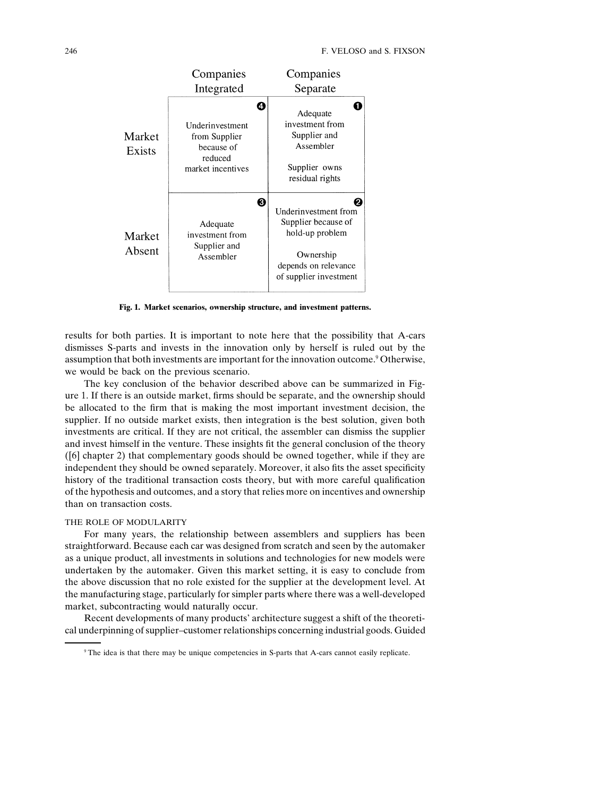

**Fig. 1. Market scenarios, ownership structure, and investment patterns.**

results for both parties. It is important to note here that the possibility that A-cars dismisses S-parts and invests in the innovation only by herself is ruled out by the assumption that both investments are important for the innovation outcome.9 Otherwise, we would be back on the previous scenario.

The key conclusion of the behavior described above can be summarized in Figure 1. If there is an outside market, firms should be separate, and the ownership should be allocated to the firm that is making the most important investment decision, the supplier. If no outside market exists, then integration is the best solution, given both investments are critical. If they are not critical, the assembler can dismiss the supplier and invest himself in the venture. These insights fit the general conclusion of the theory ([6] chapter 2) that complementary goods should be owned together, while if they are independent they should be owned separately. Moreover, it also fits the asset specificity history of the traditional transaction costs theory, but with more careful qualification of the hypothesis and outcomes, and a story that relies more on incentives and ownership than on transaction costs.

#### THE ROLE OF MODULARITY

For many years, the relationship between assemblers and suppliers has been straightforward. Because each car was designed from scratch and seen by the automaker as a unique product, all investments in solutions and technologies for new models were undertaken by the automaker. Given this market setting, it is easy to conclude from the above discussion that no role existed for the supplier at the development level. At the manufacturing stage, particularly for simpler parts where there was a well-developed market, subcontracting would naturally occur.

Recent developments of many products' architecture suggest a shift of the theoretical underpinning of supplier–customer relationships concerning industrial goods. Guided

<sup>&</sup>lt;sup>9</sup> The idea is that there may be unique competencies in S-parts that A-cars cannot easily replicate.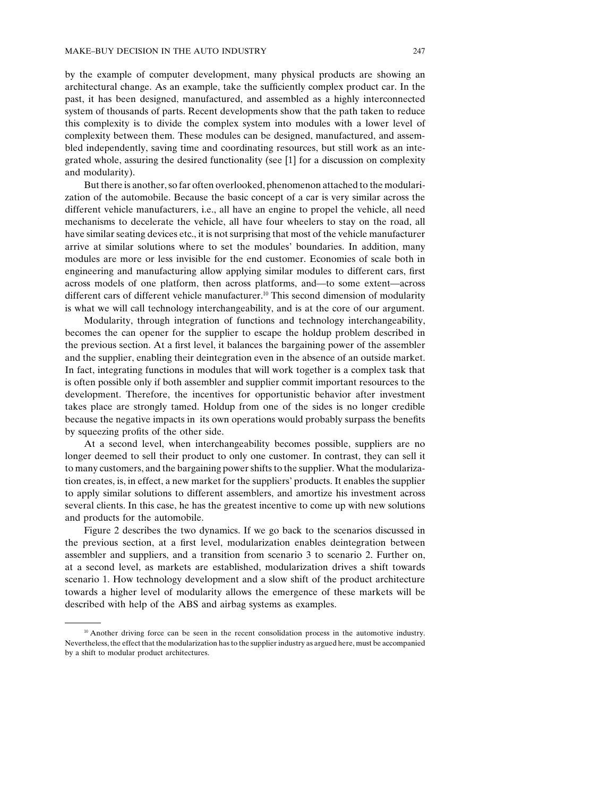by the example of computer development, many physical products are showing an architectural change. As an example, take the sufficiently complex product car. In the past, it has been designed, manufactured, and assembled as a highly interconnected system of thousands of parts. Recent developments show that the path taken to reduce this complexity is to divide the complex system into modules with a lower level of complexity between them. These modules can be designed, manufactured, and assembled independently, saving time and coordinating resources, but still work as an integrated whole, assuring the desired functionality (see [1] for a discussion on complexity and modularity).

But there is another, so far often overlooked, phenomenon attached to the modularization of the automobile. Because the basic concept of a car is very similar across the different vehicle manufacturers, i.e., all have an engine to propel the vehicle, all need mechanisms to decelerate the vehicle, all have four wheelers to stay on the road, all have similar seating devices etc., it is not surprising that most of the vehicle manufacturer arrive at similar solutions where to set the modules' boundaries. In addition, many modules are more or less invisible for the end customer. Economies of scale both in engineering and manufacturing allow applying similar modules to different cars, first across models of one platform, then across platforms, and—to some extent—across different cars of different vehicle manufacturer.<sup>10</sup> This second dimension of modularity is what we will call technology interchangeability, and is at the core of our argument.

Modularity, through integration of functions and technology interchangeability, becomes the can opener for the supplier to escape the holdup problem described in the previous section. At a first level, it balances the bargaining power of the assembler and the supplier, enabling their deintegration even in the absence of an outside market. In fact, integrating functions in modules that will work together is a complex task that is often possible only if both assembler and supplier commit important resources to the development. Therefore, the incentives for opportunistic behavior after investment takes place are strongly tamed. Holdup from one of the sides is no longer credible because the negative impacts in its own operations would probably surpass the benefits by squeezing profits of the other side.

At a second level, when interchangeability becomes possible, suppliers are no longer deemed to sell their product to only one customer. In contrast, they can sell it to many customers, and the bargaining power shifts to the supplier. What the modularization creates, is, in effect, a new market for the suppliers' products. It enables the supplier to apply similar solutions to different assemblers, and amortize his investment across several clients. In this case, he has the greatest incentive to come up with new solutions and products for the automobile.

Figure 2 describes the two dynamics. If we go back to the scenarios discussed in the previous section, at a first level, modularization enables deintegration between assembler and suppliers, and a transition from scenario 3 to scenario 2. Further on, at a second level, as markets are established, modularization drives a shift towards scenario 1. How technology development and a slow shift of the product architecture towards a higher level of modularity allows the emergence of these markets will be described with help of the ABS and airbag systems as examples.

<sup>&</sup>lt;sup>10</sup> Another driving force can be seen in the recent consolidation process in the automotive industry. Nevertheless, the effect that the modularization has to the supplier industry as argued here, must be accompanied by a shift to modular product architectures.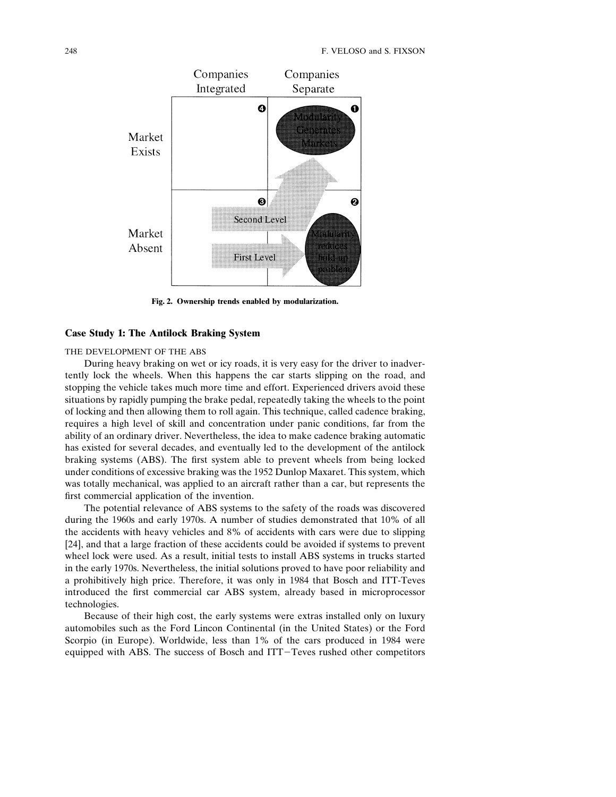

**Fig. 2. Ownership trends enabled by modularization.**

## **Case Study 1: The Antilock Braking System**

### THE DEVELOPMENT OF THE ABS

During heavy braking on wet or icy roads, it is very easy for the driver to inadvertently lock the wheels. When this happens the car starts slipping on the road, and stopping the vehicle takes much more time and effort. Experienced drivers avoid these situations by rapidly pumping the brake pedal, repeatedly taking the wheels to the point of locking and then allowing them to roll again. This technique, called cadence braking, requires a high level of skill and concentration under panic conditions, far from the ability of an ordinary driver. Nevertheless, the idea to make cadence braking automatic has existed for several decades, and eventually led to the development of the antilock braking systems (ABS). The first system able to prevent wheels from being locked under conditions of excessive braking was the 1952 Dunlop Maxaret. This system, which was totally mechanical, was applied to an aircraft rather than a car, but represents the first commercial application of the invention.

The potential relevance of ABS systems to the safety of the roads was discovered during the 1960s and early 1970s. A number of studies demonstrated that 10% of all the accidents with heavy vehicles and 8% of accidents with cars were due to slipping [24], and that a large fraction of these accidents could be avoided if systems to prevent wheel lock were used. As a result, initial tests to install ABS systems in trucks started in the early 1970s. Nevertheless, the initial solutions proved to have poor reliability and a prohibitively high price. Therefore, it was only in 1984 that Bosch and ITT-Teves introduced the first commercial car ABS system, already based in microprocessor technologies.

Because of their high cost, the early systems were extras installed only on luxury automobiles such as the Ford Lincon Continental (in the United States) or the Ford Scorpio (in Europe). Worldwide, less than 1% of the cars produced in 1984 were equipped with ABS. The success of Bosch and ITT-Teves rushed other competitors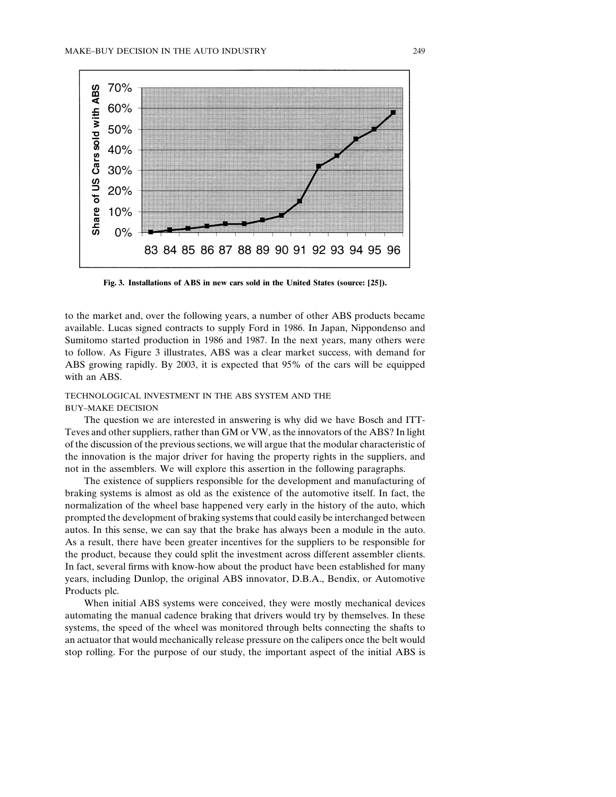

**Fig. 3. Installations of ABS in new cars sold in the United States (source: [25]).**

to the market and, over the following years, a number of other ABS products became available. Lucas signed contracts to supply Ford in 1986. In Japan, Nippondenso and Sumitomo started production in 1986 and 1987. In the next years, many others were to follow. As Figure 3 illustrates, ABS was a clear market success, with demand for ABS growing rapidly. By 2003, it is expected that 95% of the cars will be equipped with an ABS.

TECHNOLOGICAL INVESTMENT IN THE ABS SYSTEM AND THE BUY–MAKE DECISION

The question we are interested in answering is why did we have Bosch and ITT-Teves and other suppliers, rather than GM or VW, as the innovators of the ABS? In light of the discussion of the previous sections, we will argue that the modular characteristic of the innovation is the major driver for having the property rights in the suppliers, and not in the assemblers. We will explore this assertion in the following paragraphs.

The existence of suppliers responsible for the development and manufacturing of braking systems is almost as old as the existence of the automotive itself. In fact, the normalization of the wheel base happened very early in the history of the auto, which prompted the development of braking systems that could easily be interchanged between autos. In this sense, we can say that the brake has always been a module in the auto. As a result, there have been greater incentives for the suppliers to be responsible for the product, because they could split the investment across different assembler clients. In fact, several firms with know-how about the product have been established for many years, including Dunlop, the original ABS innovator, D.B.A., Bendix, or Automotive Products plc.

When initial ABS systems were conceived, they were mostly mechanical devices automating the manual cadence braking that drivers would try by themselves. In these systems, the speed of the wheel was monitored through belts connecting the shafts to an actuator that would mechanically release pressure on the calipers once the belt would stop rolling. For the purpose of our study, the important aspect of the initial ABS is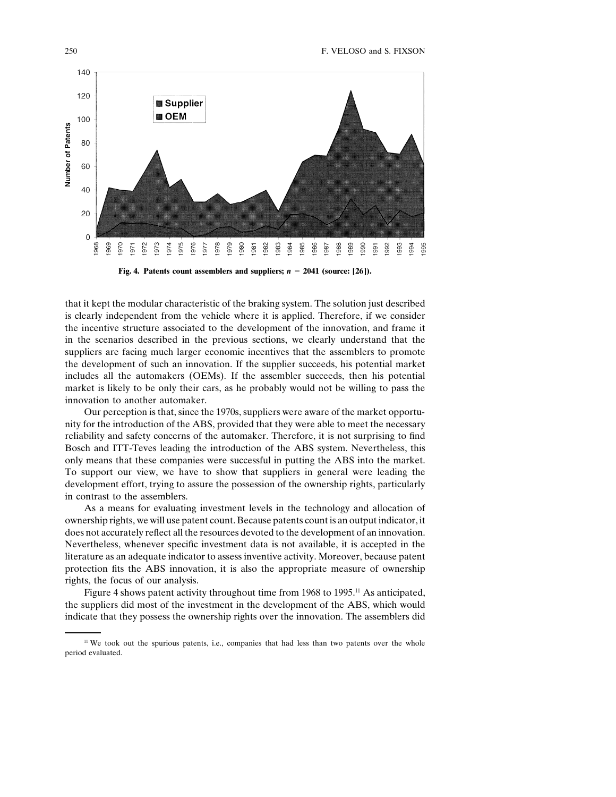

that it kept the modular characteristic of the braking system. The solution just described is clearly independent from the vehicle where it is applied. Therefore, if we consider the incentive structure associated to the development of the innovation, and frame it in the scenarios described in the previous sections, we clearly understand that the suppliers are facing much larger economic incentives that the assemblers to promote the development of such an innovation. If the supplier succeeds, his potential market includes all the automakers (OEMs). If the assembler succeeds, then his potential market is likely to be only their cars, as he probably would not be willing to pass the innovation to another automaker.

Our perception is that, since the 1970s, suppliers were aware of the market opportunity for the introduction of the ABS, provided that they were able to meet the necessary reliability and safety concerns of the automaker. Therefore, it is not surprising to find Bosch and ITT-Teves leading the introduction of the ABS system. Nevertheless, this only means that these companies were successful in putting the ABS into the market. To support our view, we have to show that suppliers in general were leading the development effort, trying to assure the possession of the ownership rights, particularly in contrast to the assemblers.

As a means for evaluating investment levels in the technology and allocation of ownership rights, we will use patent count. Because patents count is an output indicator, it does not accurately reflect all the resources devoted to the development of an innovation. Nevertheless, whenever specific investment data is not available, it is accepted in the literature as an adequate indicator to assess inventive activity. Moreover, because patent protection fits the ABS innovation, it is also the appropriate measure of ownership rights, the focus of our analysis.

Figure 4 shows patent activity throughout time from 1968 to 1995.<sup>11</sup> As anticipated, the suppliers did most of the investment in the development of the ABS, which would indicate that they possess the ownership rights over the innovation. The assemblers did

 $11$  We took out the spurious patents, i.e., companies that had less than two patents over the whole period evaluated.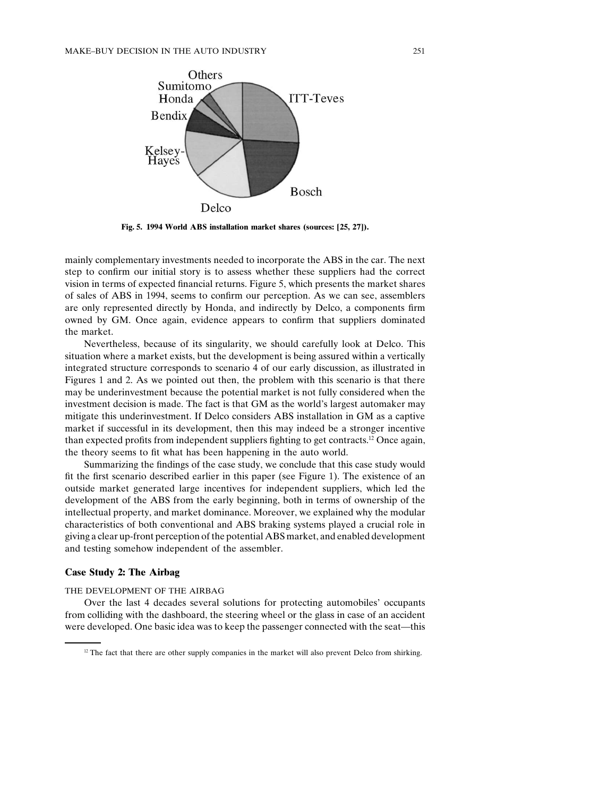

**Fig. 5. 1994 World ABS installation market shares (sources: [25, 27]).**

mainly complementary investments needed to incorporate the ABS in the car. The next step to confirm our initial story is to assess whether these suppliers had the correct vision in terms of expected financial returns. Figure 5, which presents the market shares of sales of ABS in 1994, seems to confirm our perception. As we can see, assemblers are only represented directly by Honda, and indirectly by Delco, a components firm owned by GM. Once again, evidence appears to confirm that suppliers dominated the market.

Nevertheless, because of its singularity, we should carefully look at Delco. This situation where a market exists, but the development is being assured within a vertically integrated structure corresponds to scenario 4 of our early discussion, as illustrated in Figures 1 and 2. As we pointed out then, the problem with this scenario is that there may be underinvestment because the potential market is not fully considered when the investment decision is made. The fact is that GM as the world's largest automaker may mitigate this underinvestment. If Delco considers ABS installation in GM as a captive market if successful in its development, then this may indeed be a stronger incentive than expected profits from independent suppliers fighting to get contracts.12 Once again, the theory seems to fit what has been happening in the auto world.

Summarizing the findings of the case study, we conclude that this case study would fit the first scenario described earlier in this paper (see Figure 1). The existence of an outside market generated large incentives for independent suppliers, which led the development of the ABS from the early beginning, both in terms of ownership of the intellectual property, and market dominance. Moreover, we explained why the modular characteristics of both conventional and ABS braking systems played a crucial role in giving a clear up-front perception of the potential ABS market, and enabled development and testing somehow independent of the assembler.

#### **Case Study 2: The Airbag**

## THE DEVELOPMENT OF THE AIRBAG

Over the last 4 decades several solutions for protecting automobiles' occupants from colliding with the dashboard, the steering wheel or the glass in case of an accident were developed. One basic idea was to keep the passenger connected with the seat—this

<sup>&</sup>lt;sup>12</sup> The fact that there are other supply companies in the market will also prevent Delco from shirking.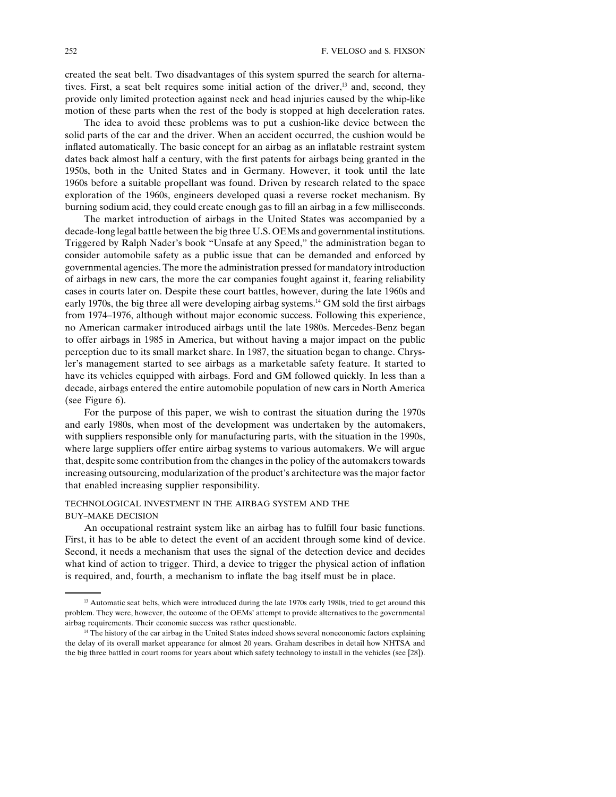created the seat belt. Two disadvantages of this system spurred the search for alternatives. First, a seat belt requires some initial action of the driver,<sup>13</sup> and, second, they provide only limited protection against neck and head injuries caused by the whip-like motion of these parts when the rest of the body is stopped at high deceleration rates.

The idea to avoid these problems was to put a cushion-like device between the solid parts of the car and the driver. When an accident occurred, the cushion would be inflated automatically. The basic concept for an airbag as an inflatable restraint system dates back almost half a century, with the first patents for airbags being granted in the 1950s, both in the United States and in Germany. However, it took until the late 1960s before a suitable propellant was found. Driven by research related to the space exploration of the 1960s, engineers developed quasi a reverse rocket mechanism. By burning sodium acid, they could create enough gas to fill an airbag in a few milliseconds.

The market introduction of airbags in the United States was accompanied by a decade-long legal battle between the big three U.S. OEMs and governmental institutions. Triggered by Ralph Nader's book "Unsafe at any Speed," the administration began to consider automobile safety as a public issue that can be demanded and enforced by governmental agencies. The more the administration pressed for mandatory introduction of airbags in new cars, the more the car companies fought against it, fearing reliability cases in courts later on. Despite these court battles, however, during the late 1960s and early 1970s, the big three all were developing airbag systems.<sup>14</sup> GM sold the first airbags from 1974–1976, although without major economic success. Following this experience, no American carmaker introduced airbags until the late 1980s. Mercedes-Benz began to offer airbags in 1985 in America, but without having a major impact on the public perception due to its small market share. In 1987, the situation began to change. Chrysler's management started to see airbags as a marketable safety feature. It started to have its vehicles equipped with airbags. Ford and GM followed quickly. In less than a decade, airbags entered the entire automobile population of new cars in North America (see Figure 6).

For the purpose of this paper, we wish to contrast the situation during the 1970s and early 1980s, when most of the development was undertaken by the automakers, with suppliers responsible only for manufacturing parts, with the situation in the 1990s, where large suppliers offer entire airbag systems to various automakers. We will argue that, despite some contribution from the changes in the policy of the automakers towards increasing outsourcing, modularization of the product's architecture was the major factor that enabled increasing supplier responsibility.

## TECHNOLOGICAL INVESTMENT IN THE AIRBAG SYSTEM AND THE BUY–MAKE DECISION

An occupational restraint system like an airbag has to fulfill four basic functions. First, it has to be able to detect the event of an accident through some kind of device. Second, it needs a mechanism that uses the signal of the detection device and decides what kind of action to trigger. Third, a device to trigger the physical action of inflation is required, and, fourth, a mechanism to inflate the bag itself must be in place.

<sup>&</sup>lt;sup>13</sup> Automatic seat belts, which were introduced during the late 1970s early 1980s, tried to get around this problem. They were, however, the outcome of the OEMs' attempt to provide alternatives to the governmental airbag requirements. Their economic success was rather questionable.

<sup>&</sup>lt;sup>14</sup> The history of the car airbag in the United States indeed shows several noneconomic factors explaining the delay of its overall market appearance for almost 20 years. Graham describes in detail how NHTSA and the big three battled in court rooms for years about which safety technology to install in the vehicles (see [28]).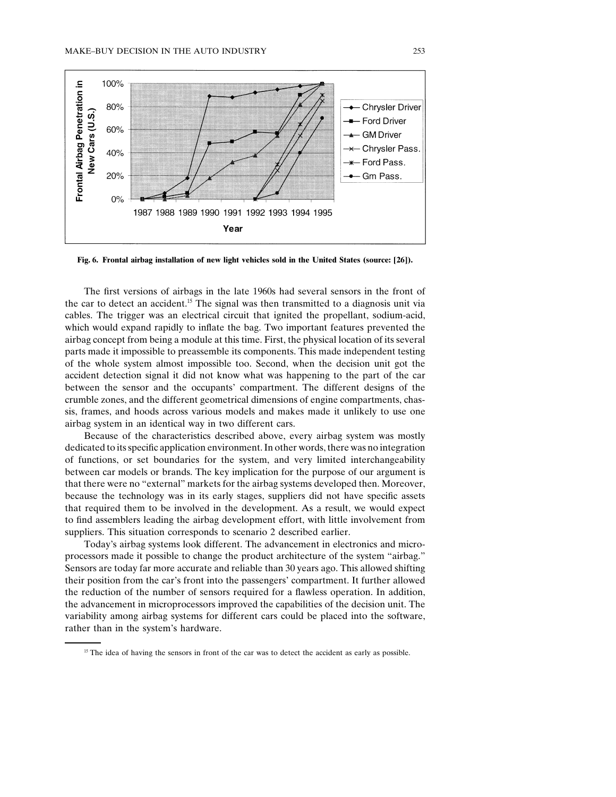

**Fig. 6. Frontal airbag installation of new light vehicles sold in the United States (source: [26]).**

The first versions of airbags in the late 1960s had several sensors in the front of the car to detect an accident.<sup>15</sup> The signal was then transmitted to a diagnosis unit via cables. The trigger was an electrical circuit that ignited the propellant, sodium-acid, which would expand rapidly to inflate the bag. Two important features prevented the airbag concept from being a module at this time. First, the physical location of its several parts made it impossible to preassemble its components. This made independent testing of the whole system almost impossible too. Second, when the decision unit got the accident detection signal it did not know what was happening to the part of the car between the sensor and the occupants' compartment. The different designs of the crumble zones, and the different geometrical dimensions of engine compartments, chassis, frames, and hoods across various models and makes made it unlikely to use one airbag system in an identical way in two different cars.

Because of the characteristics described above, every airbag system was mostly dedicated to its specific application environment. In other words, there was no integration of functions, or set boundaries for the system, and very limited interchangeability between car models or brands. The key implication for the purpose of our argument is that there were no "external" markets for the airbag systems developed then. Moreover, because the technology was in its early stages, suppliers did not have specific assets that required them to be involved in the development. As a result, we would expect to find assemblers leading the airbag development effort, with little involvement from suppliers. This situation corresponds to scenario 2 described earlier.

Today's airbag systems look different. The advancement in electronics and microprocessors made it possible to change the product architecture of the system "airbag." Sensors are today far more accurate and reliable than 30 years ago. This allowed shifting their position from the car's front into the passengers' compartment. It further allowed the reduction of the number of sensors required for a flawless operation. In addition, the advancement in microprocessors improved the capabilities of the decision unit. The variability among airbag systems for different cars could be placed into the software, rather than in the system's hardware.

<sup>&</sup>lt;sup>15</sup> The idea of having the sensors in front of the car was to detect the accident as early as possible.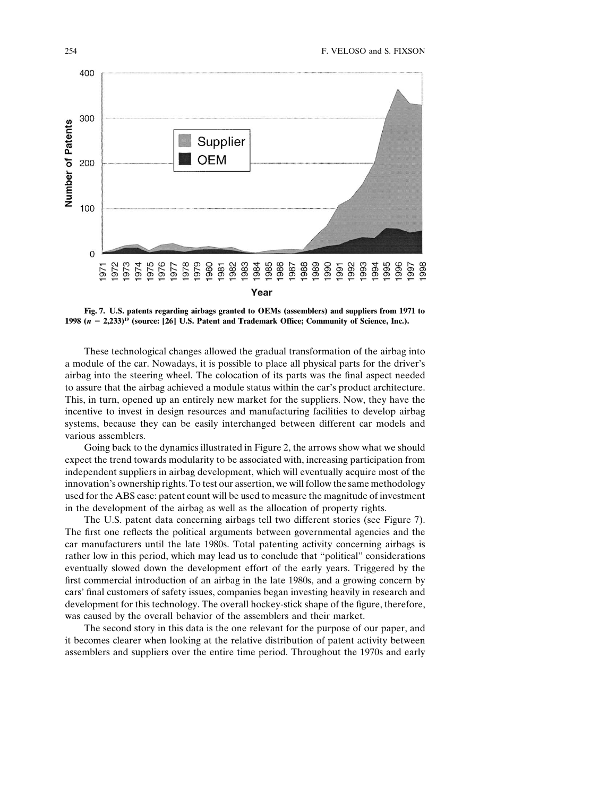

**Fig. 7. U.S. patents regarding airbags granted to OEMs (assemblers) and suppliers from 1971 to 1998 (***n* - **2,233)19 (source: [26] U.S. Patent and Trademark Office; Community of Science, Inc.).**

These technological changes allowed the gradual transformation of the airbag into a module of the car. Nowadays, it is possible to place all physical parts for the driver's airbag into the steering wheel. The colocation of its parts was the final aspect needed to assure that the airbag achieved a module status within the car's product architecture. This, in turn, opened up an entirely new market for the suppliers. Now, they have the incentive to invest in design resources and manufacturing facilities to develop airbag systems, because they can be easily interchanged between different car models and various assemblers.

Going back to the dynamics illustrated in Figure 2, the arrows show what we should expect the trend towards modularity to be associated with, increasing participation from independent suppliers in airbag development, which will eventually acquire most of the innovation's ownership rights. To test our assertion, we will follow the same methodology used for the ABS case: patent count will be used to measure the magnitude of investment in the development of the airbag as well as the allocation of property rights.

The U.S. patent data concerning airbags tell two different stories (see Figure 7). The first one reflects the political arguments between governmental agencies and the car manufacturers until the late 1980s. Total patenting activity concerning airbags is rather low in this period, which may lead us to conclude that "political" considerations eventually slowed down the development effort of the early years. Triggered by the first commercial introduction of an airbag in the late 1980s, and a growing concern by cars' final customers of safety issues, companies began investing heavily in research and development for this technology. The overall hockey-stick shape of the figure, therefore, was caused by the overall behavior of the assemblers and their market.

The second story in this data is the one relevant for the purpose of our paper, and it becomes clearer when looking at the relative distribution of patent activity between assemblers and suppliers over the entire time period. Throughout the 1970s and early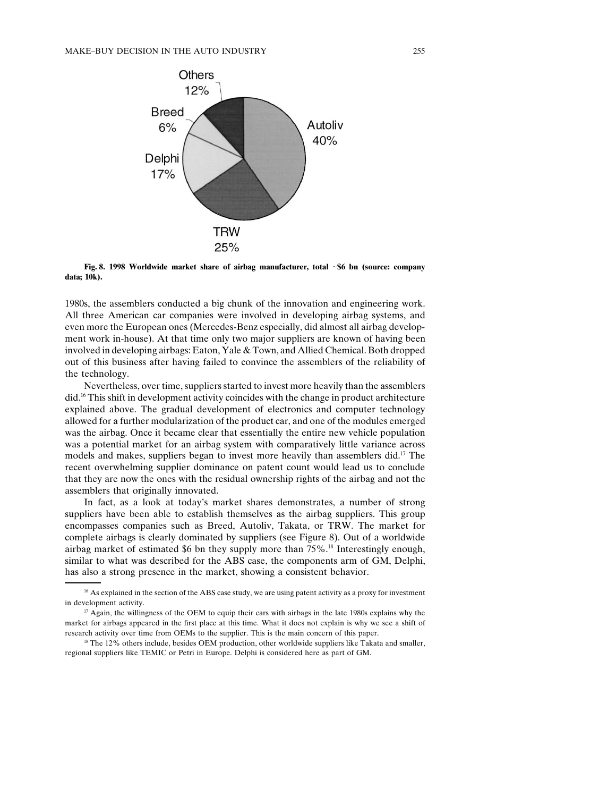

Fig. 8. 1998 Worldwide market share of airbag manufacturer, total ~\$6 bn (source: company **data; 10k).**

1980s, the assemblers conducted a big chunk of the innovation and engineering work. All three American car companies were involved in developing airbag systems, and even more the European ones (Mercedes-Benz especially, did almost all airbag development work in-house). At that time only two major suppliers are known of having been involved in developing airbags: Eaton, Yale & Town, and Allied Chemical. Both dropped out of this business after having failed to convince the assemblers of the reliability of the technology.

Nevertheless, over time, suppliers started to invest more heavily than the assemblers did.16 This shift in development activity coincides with the change in product architecture explained above. The gradual development of electronics and computer technology allowed for a further modularization of the product car, and one of the modules emerged was the airbag. Once it became clear that essentially the entire new vehicle population was a potential market for an airbag system with comparatively little variance across models and makes, suppliers began to invest more heavily than assemblers did.17 The recent overwhelming supplier dominance on patent count would lead us to conclude that they are now the ones with the residual ownership rights of the airbag and not the assemblers that originally innovated.

In fact, as a look at today's market shares demonstrates, a number of strong suppliers have been able to establish themselves as the airbag suppliers. This group encompasses companies such as Breed, Autoliv, Takata, or TRW. The market for complete airbags is clearly dominated by suppliers (see Figure 8). Out of a worldwide airbag market of estimated \$6 bn they supply more than 75%.18 Interestingly enough, similar to what was described for the ABS case, the components arm of GM, Delphi, has also a strong presence in the market, showing a consistent behavior.

<sup>&</sup>lt;sup>16</sup> As explained in the section of the ABS case study, we are using patent activity as a proxy for investment in development activity.

 $17$  Again, the willingness of the OEM to equip their cars with airbags in the late 1980s explains why the market for airbags appeared in the first place at this time. What it does not explain is why we see a shift of research activity over time from OEMs to the supplier. This is the main concern of this paper.

<sup>&</sup>lt;sup>18</sup> The 12% others include, besides OEM production, other worldwide suppliers like Takata and smaller, regional suppliers like TEMIC or Petri in Europe. Delphi is considered here as part of GM.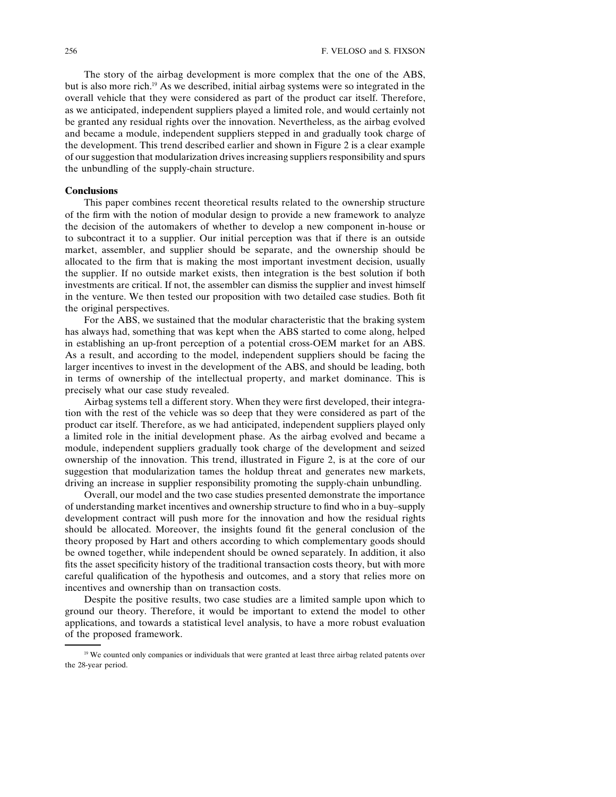The story of the airbag development is more complex that the one of the ABS, but is also more rich.19 As we described, initial airbag systems were so integrated in the overall vehicle that they were considered as part of the product car itself. Therefore, as we anticipated, independent suppliers played a limited role, and would certainly not be granted any residual rights over the innovation. Nevertheless, as the airbag evolved and became a module, independent suppliers stepped in and gradually took charge of the development. This trend described earlier and shown in Figure 2 is a clear example of our suggestion that modularization drives increasing suppliers responsibility and spurs the unbundling of the supply-chain structure.

#### **Conclusions**

This paper combines recent theoretical results related to the ownership structure of the firm with the notion of modular design to provide a new framework to analyze the decision of the automakers of whether to develop a new component in-house or to subcontract it to a supplier. Our initial perception was that if there is an outside market, assembler, and supplier should be separate, and the ownership should be allocated to the firm that is making the most important investment decision, usually the supplier. If no outside market exists, then integration is the best solution if both investments are critical. If not, the assembler can dismiss the supplier and invest himself in the venture. We then tested our proposition with two detailed case studies. Both fit the original perspectives.

For the ABS, we sustained that the modular characteristic that the braking system has always had, something that was kept when the ABS started to come along, helped in establishing an up-front perception of a potential cross-OEM market for an ABS. As a result, and according to the model, independent suppliers should be facing the larger incentives to invest in the development of the ABS, and should be leading, both in terms of ownership of the intellectual property, and market dominance. This is precisely what our case study revealed.

Airbag systems tell a different story. When they were first developed, their integration with the rest of the vehicle was so deep that they were considered as part of the product car itself. Therefore, as we had anticipated, independent suppliers played only a limited role in the initial development phase. As the airbag evolved and became a module, independent suppliers gradually took charge of the development and seized ownership of the innovation. This trend, illustrated in Figure 2, is at the core of our suggestion that modularization tames the holdup threat and generates new markets, driving an increase in supplier responsibility promoting the supply-chain unbundling.

Overall, our model and the two case studies presented demonstrate the importance of understanding market incentives and ownership structure to find who in a buy–supply development contract will push more for the innovation and how the residual rights should be allocated. Moreover, the insights found fit the general conclusion of the theory proposed by Hart and others according to which complementary goods should be owned together, while independent should be owned separately. In addition, it also fits the asset specificity history of the traditional transaction costs theory, but with more careful qualification of the hypothesis and outcomes, and a story that relies more on incentives and ownership than on transaction costs.

Despite the positive results, two case studies are a limited sample upon which to ground our theory. Therefore, it would be important to extend the model to other applications, and towards a statistical level analysis, to have a more robust evaluation of the proposed framework.

<sup>&</sup>lt;sup>19</sup> We counted only companies or individuals that were granted at least three airbag related patents over the 28-year period.